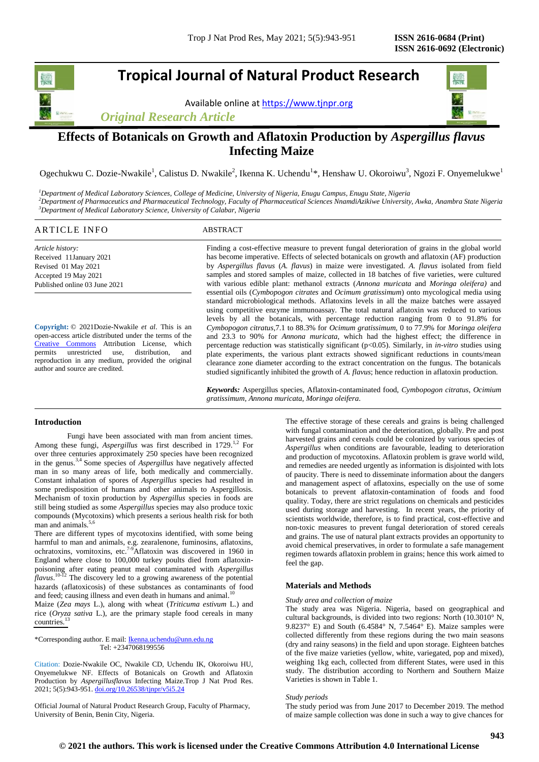# **Tropical Journal of Natural Product Research**

Available online a[t https://www.tjnpr.org](https://www.tjnpr.org/)

*Original Research Article*



## **Effects of Botanicals on Growth and Aflatoxin Production by** *Aspergillus flavus* **Infecting Maize**

Ogechukwu C. Dozie-Nwakile<sup>1</sup>, Calistus D. Nwakile<sup>2</sup>, Ikenna K. Uchendu<sup>1\*</sup>, Henshaw U. Okoroiwu<sup>3</sup>, Ngozi F. Onyemelukwe<sup>1</sup>

*<sup>1</sup>Department of Medical Laboratory Sciences, College of Medicine, University of Nigeria, Enugu Campus, Enugu State, Nigeria <sup>2</sup>Department of Pharmaceutics and Pharmaceutical Technology, Faculty of Pharmaceutical Sciences NnamdiAzikiwe University, Awka, Anambra State Nigeria <sup>3</sup>Department of Medical Laboratory Science, University of Calabar, Nigeria*

## ARTICLE INFO ABSTRACT

*Article history:* Received 11January 2021 Revised 01 May 2021 Accepted 19 May 2021 Published online 03 June 2021

**Copyright:** © 2021Dozie-Nwakile *et al*. This is an open-access article distributed under the terms of the [Creative Commons](https://creativecommons.org/licenses/by/4.0/) Attribution License, which permits unrestricted use, distribution, and reproduction in any medium, provided the original author and source are credited.

Finding a cost-effective measure to prevent fungal deterioration of grains in the global world has become imperative. Effects of selected botanicals on growth and aflatoxin (AF) production by *Aspergillus flavus* (*A. flavus*) in maize were investigated. *A. flavus* isolated from field samples and stored samples of maize, collected in 18 batches of five varieties, were cultured with various edible plant: methanol extracts (*Annona muricata* and *Moringa oleifera)* and essential oils (*Cymbopogon citrates* and *Ocimum gratissimum*) onto mycological media using standard microbiological methods. Aflatoxins levels in all the maize batches were assayed using competitive enzyme immunoassay. The total natural aflatoxin was reduced to various levels by all the botanicals, with percentage reduction ranging from 0 to 91.8% for *Cymbopogon citratus*,7.1 to 88.3% for *Ocimum gratissimum,* 0 to 77.9% for *Moringa oleifera* and 23.3 to 90% for *Annona muricata*, which had the highest effect; the difference in percentage reduction was statistically significant (p<0.05). Similarly, in *in-vitro* studies using plate experiments, the various plant extracts showed significant reductions in counts/mean clearance zone diameter according to the extract concentration on the fungus. The botanicals studied significantly inhibited the growth of *A. flavus*; hence reduction in aflatoxin production.

*Keywords:* Aspergillus species, Aflatoxin-contaminated food, *Cymbopogon citratus*, *Ocimium gratissimum*, *Annona muricata*, *Moringa oleifera*.

## **Introduction**

Fungi have been associated with man from ancient times. Among these fungi, *Aspergillus* was first described in 1729.<sup>1,2</sup> For over three centuries approximately 250 species have been recognized in the genus.3,4 Some species of *Aspergillus* have negatively affected man in so many areas of life, both medically and commercially. Constant inhalation of spores of *Aspergillus* species had resulted in some predisposition of humans and other animals to Aspergillosis. Mechanism of toxin production by *Aspergillus* species in foods are still being studied as some *Aspergillus* species may also produce toxic compounds (Mycotoxins) which presents a serious health risk for both man and animals.<sup>5,6</sup>

There are different types of mycotoxins identified, with some being harmful to man and animals, e.g. zearalenone, fuminosins, aflatoxins, ochratoxins, vomitoxins, etc.<sup>7-9</sup>Aflatoxin was discovered in 1960 in England where close to 100,000 turkey poults died from aflatoxinpoisoning after eating peanut meal contaminated with *Aspergillus flavus*. 10-12 The discovery led to a growing awareness of the potential hazards (aflatoxicosis) of these substances as contaminants of food and feed; causing illness and even death in humans and animal.<sup>10</sup>

Maize (*Zea mays* L.), along with wheat (*Triticuma estivum* L.) and rice (*Oryza sativa* L.), are the primary staple food cereals in many countries.

\*Corresponding author. E mail[: Ikenna.uchendu@unn.edu.ng](mailto:Ikenna.uchendu@unn.edu.ng) Tel: +2347068199556

Citation: Dozie-Nwakile OC, Nwakile CD, Uchendu IK, Okoroiwu HU, Onyemelukwe NF. Effects of Botanicals on Growth and Aflatoxin Production by *Aspergillusflavus* Infecting Maize.Trop J Nat Prod Res. 2021; 5(5):943-951. [doi.org/10.26538/tjnpr/v5i5.2](http://www.doi.org/10.26538/tjnpr/v1i4.5)4

Official Journal of Natural Product Research Group, Faculty of Pharmacy, University of Benin, Benin City, Nigeria.

The effective storage of these cereals and grains is being challenged with fungal contamination and the deterioration, globally. Pre and post harvested grains and cereals could be colonized by various species of *Aspergillus* when conditions are favourable, leading to deterioration and production of mycotoxins. Aflatoxin problem is grave world wild, and remedies are needed urgently as information is disjointed with lots of paucity. There is need to disseminate information about the dangers and management aspect of aflatoxins, especially on the use of some botanicals to prevent aflatoxin-contamination of foods and food quality. Today, there are strict regulations on chemicals and pesticides used during storage and harvesting. In recent years, the priority of scientists worldwide, therefore, is to find practical, cost-effective and non-toxic measures to prevent fungal deterioration of stored cereals and grains. The use of natural plant extracts provides an opportunity to avoid chemical preservatives, in order to formulate a safe management regimen towards aflatoxin problem in grains; hence this work aimed to feel the gap.

## **Materials and Methods**

#### *Study area and collection of maize*

The study area was Nigeria. Nigeria, based on geographical and cultural backgrounds, is divided into two regions: North (10.3010° N, 9.8237° E) and South (6.4584° N, 7.5464° E). Maize samples were collected differently from these regions during the two main seasons (dry and rainy seasons) in the field and upon storage. Eighteen batches of the five maize varieties (yellow, white, variegated, pop and mixed), weighing 1kg each, collected from different States, were used in this study. The distribution according to Northern and Southern Maize Varieties is shown in Table 1.

## *Study periods*

The study period was from June 2017 to December 2019. The method of maize sample collection was done in such a way to give chances for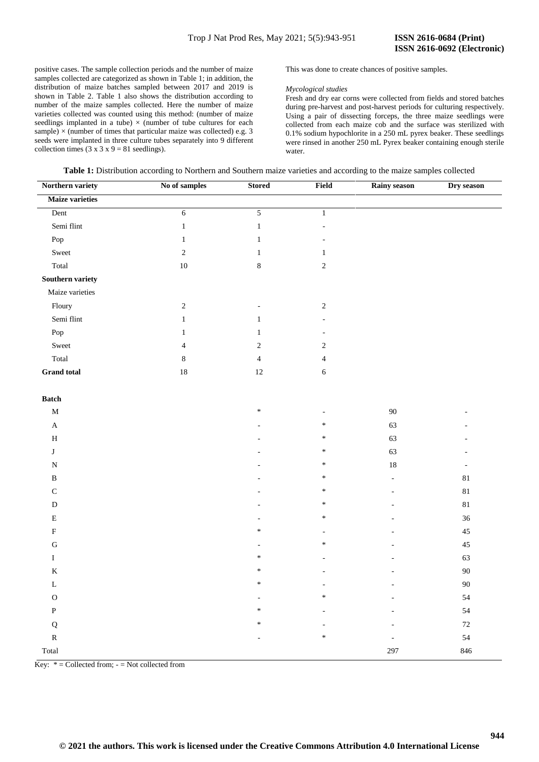positive cases. The sample collection periods and the number of maize samples collected are categorized as shown in Table 1; in addition, the distribution of maize batches sampled between 2017 and 2019 is shown in Table 2. Table 1 also shows the distribution according to number of the maize samples collected. Here the number of maize varieties collected was counted using this method: (number of maize seedlings implanted in a tube)  $\times$  (number of tube cultures for each sample)  $\times$  (number of times that particular maize was collected) e.g. 3 seeds were implanted in three culture tubes separately into 9 different collection times (3 x 3 x 9 = 81 seedlings).

This was done to create chances of positive samples.

#### *Mycological studies*

Fresh and dry ear corns were collected from fields and stored batches during pre-harvest and post-harvest periods for culturing respectively. Using a pair of dissecting forceps, the three maize seedlings were collected from each maize cob and the surface was sterilized with 0.1% sodium hypochlorite in a 250 mL pyrex beaker. These seedlings were rinsed in another 250 mL Pyrex beaker containing enough sterile water.

| Northern variety       | No of samples  | <b>Stored</b>            | Field          | Rainy season   | Dry season               |
|------------------------|----------------|--------------------------|----------------|----------------|--------------------------|
| <b>Maize varieties</b> |                |                          |                |                |                          |
| Dent                   | $6\,$          | $\overline{5}$           | $\mathbf{1}$   |                |                          |
| Semi flint             | $\mathbf{1}$   | $\,1$                    |                |                |                          |
| Pop                    | $\mathbf{1}$   | $\mathbf{1}$             |                |                |                          |
| Sweet                  | $\sqrt{2}$     | $\mathbf{1}$             | 1              |                |                          |
| Total                  | $10\,$         | $\,8\,$                  | $\sqrt{2}$     |                |                          |
| Southern variety       |                |                          |                |                |                          |
| Maize varieties        |                |                          |                |                |                          |
| Floury                 | $\sqrt{2}$     | $\overline{\phantom{a}}$ | $\sqrt{2}$     |                |                          |
| Semi flint             | $1\,$          | $\mathbf{1}$             |                |                |                          |
| Pop                    | $\mathbf{1}$   | $\mathbf{1}$             |                |                |                          |
| Sweet                  | $\overline{4}$ | $\sqrt{2}$               | $\sqrt{2}$     |                |                          |
| Total                  | $\,8\,$        | $\overline{4}$           | $\overline{4}$ |                |                          |
| <b>Grand</b> total     | $18\,$         | $12\,$                   | $\sqrt{6}$     |                |                          |
| $\mathbf{Batch}$       |                |                          |                |                |                          |
| $\mathbf M$            |                | $\ast$                   |                | $90\,$         |                          |
| $\mathbf A$            |                |                          | $\ast$         | 63             |                          |
| $\, {\rm H}$           |                |                          | $\ast$         | 63             |                          |
| J                      |                |                          | $\ast$         | 63             |                          |
| ${\bf N}$              |                |                          | $\ast$         | 18             | $\overline{\phantom{a}}$ |
| $\, {\bf B}$           |                |                          | $\ast$         | $\blacksquare$ | $81\,$                   |
| $\mathbf C$            |                |                          | *              |                | $81\,$                   |
| ${\bf D}$              |                |                          | $\ast$         |                | $81\,$                   |
| ${\bf E}$              |                |                          | *              |                | $36\,$                   |
| $\rm F$                |                | $\ast$                   |                |                | $45\,$                   |
| ${\bf G}$              |                |                          | *              |                | $45\,$                   |
| $\mathbf{I}$           |                | $\ast$                   |                |                | 63                       |
| $\mathbf K$            |                | $\ast$                   |                |                | $90\,$                   |
| $\mathbf L$            |                | $\ast$                   |                |                | $90\,$                   |
| ${\rm O}$              |                |                          | $\ast$         |                | 54                       |
| ${\bf P}$              |                | $\ast$                   |                |                | 54                       |
| ${\bf Q}$              |                | $\ast$                   |                |                | $72\,$                   |
| ${\bf R}$              |                |                          | *              |                | 54                       |
| Total                  |                |                          |                | 297            | 846                      |

Key:  $* =$  Collected from;  $- =$  Not collected from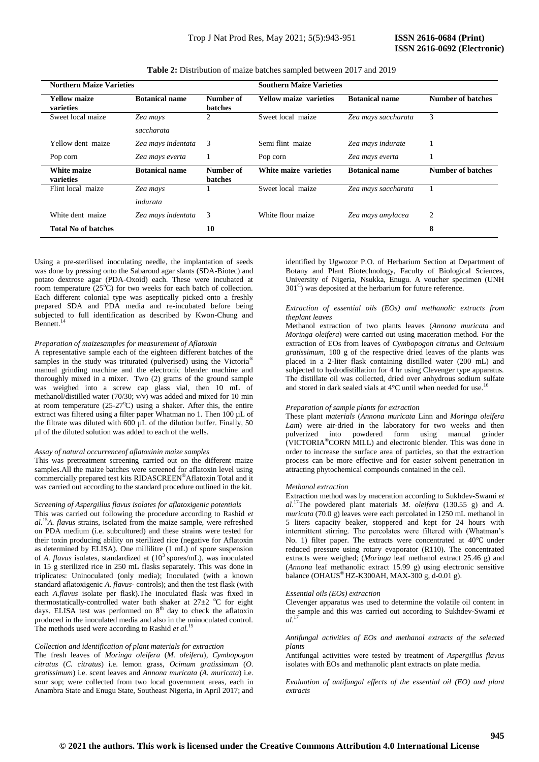| <b>Northern Maize Varieties</b>  |                       |                             | <b>Southern Maize Varieties</b> |                       |                          |  |  |  |  |  |
|----------------------------------|-----------------------|-----------------------------|---------------------------------|-----------------------|--------------------------|--|--|--|--|--|
| <b>Yellow maize</b><br>varieties | <b>Botanical name</b> | Number of<br><b>batches</b> | Yellow maize varieties          | <b>Botanical name</b> | <b>Number of batches</b> |  |  |  |  |  |
| Sweet local maize                | Zea mays              | $\mathfrak{D}$              | Sweet local maize               | Zea mays saccharata   | 3                        |  |  |  |  |  |
|                                  | saccharata            |                             |                                 |                       |                          |  |  |  |  |  |
| Yellow dent maize                | Zea mays indentata    | 3                           | Semi flint maize                | Zea mays indurate     |                          |  |  |  |  |  |
| Pop corn                         | Zea mays everta       |                             | Pop corn                        | Zea mays everta       |                          |  |  |  |  |  |
| White maize<br>varieties         | <b>Botanical name</b> | Number of<br>batches        | White maize varieties           | <b>Botanical name</b> | <b>Number of batches</b> |  |  |  |  |  |
| Flint local maize                | Zea mays              |                             | Sweet local maize               | Zea mays saccharata   |                          |  |  |  |  |  |
|                                  | indurata              |                             |                                 |                       |                          |  |  |  |  |  |
| White dent maize                 | Zea mays indentata    | 3                           | White flour maize               | Zea mays amylacea     | $\overline{2}$           |  |  |  |  |  |
| <b>Total No of batches</b>       |                       | 10                          |                                 |                       | 8                        |  |  |  |  |  |

**Table 2:** Distribution of maize batches sampled between 2017 and 2019

Using a pre-sterilised inoculating needle, the implantation of seeds was done by pressing onto the Sabaroud agar slants (SDA-Biotec) and potato dextrose agar (PDA-Oxoid) each. These were incubated at room temperature  $(25^{\circ}C)$  for two weeks for each batch of collection. Each different colonial type was aseptically picked onto a freshly prepared SDA and PDA media and re-incubated before being subjected to full identification as described by Kwon-Chung and Bennett.<sup>14</sup>

#### *Preparation of maizesamples for measurement of Aflatoxin*

A representative sample each of the eighteen different batches of the samples in the study was triturated (pulverised) using the Victoria<sup>®</sup> manual grinding machine and the electronic blender machine and thoroughly mixed in a mixer. Two (2) grams of the ground sample was weighed into a screw cap glass vial, then 10 mL of methanol/distilled water (70/30;  $v/v$ ) was added and mixed for 10 min at room temperature  $(25-27^{\circ}\text{C})$  using a shaker. After this, the entire extract was filtered using a filter paper Whatman no 1. Then 100 uL of the filtrate was diluted with 600 µL of the dilution buffer. Finally, 50 µl of the diluted solution was added to each of the wells.

#### *Assay of natural occurrenceof aflatoxinin maize samples*

This was pretreatment screening carried out on the different maize samples.All the maize batches were screened for aflatoxin level using commercially prepared test kits RIDASCREEN®Aflatoxin Total and it was carried out according to the standard procedure outlined in the kit.

#### *Screening of Aspergillus flavus isolates for aflatoxigenic potentials*

This was carried out following the procedure according to Rashid *et al*. <sup>15</sup>*A. flavus* strains, isolated from the maize sample, were refreshed on PDA medium (i.e. subcultured) and these strains were tested for their toxin producing ability on sterilized rice (negative for Aflatoxin as determined by ELISA). One millilitre (1 mL) of spore suspension of *A. flavus* isolates, standardized at (10<sup>3</sup> spores/mL), was inoculated in 15 g sterilized rice in 250 mL flasks separately. This was done in triplicates: Uninoculated (only media); Inoculated (with a known standard aflatoxigenic *A. flavus-* controls); and then the test flask (with each *A.flavus* isolate per flask).The inoculated flask was fixed in thermostatically-controlled water bath shaker at  $27\pm2~^{\circ}C$  for eight days. ELISA test was performed on  $8<sup>th</sup>$  day to check the aflatoxin produced in the inoculated media and also in the uninoculated control. The methods used were according to Rashid *et al.*<sup>15</sup>

#### *Collection and identification of plant materials for extraction*

The fresh leaves of *Moringa oleifera* (*M. oleifera*), *Cymbopogon citratus* (*C. citratus*) i.e. lemon grass, *Ocimum gratissimum* (*O. gratissimum*) i.e. scent leaves and *Annona muricata (A. muricata*) i.e. sour sop; were collected from two local government areas, each in Anambra State and Enugu State, Southeast Nigeria, in April 2017; and identified by Ugwozor P.O. of Herbarium Section at Department of Botany and Plant Biotechnology, Faculty of Biological Sciences, University of Nigeria, Nsukka, Enugu. A voucher specimen (UNH 301<sup>C</sup>) was deposited at the herbarium for future reference.

#### *Extraction of essential oils (EOs) and methanolic extracts from theplant leaves*

Methanol extraction of two plants leaves (*Annona muricata* and *Moringa oleifera*) were carried out using maceration method. For the extraction of EOs from leaves of *Cymbopogon citratus* and *Ocimium gratissimum*, 100 g of the respective dried leaves of the plants was placed in a 2-liter flask containing distilled water (200 mL) and subjected to hydrodistillation for 4 hr using Clevenger type apparatus. The distillate oil was collected, dried over anhydrous sodium sulfate and stored in dark sealed vials at  $4^{\circ}$ C until when needed for use.<sup>1</sup>

#### *Preparation of sample plants for extraction*

These plant *materials* (*Annona muricata* Linn and *Moringa oleifera Lam*) were air-dried in the laboratory for two weeks and then pulverized into powdered form using manual grinder (VICTORIA®CORN MILL) and electronic blender. This was done in order to increase the surface area of particles, so that the extraction process can be more effective and for easier solvent penetration in attracting phytochemical compounds contained in the cell.

#### *Methanol extraction*

Extraction method was by maceration according to Sukhdev-Swami *et al*. <sup>17</sup>The powdered plant materials *M. oleifera* (130.55 g) and *A. muricata* (70.0 g) leaves were each percolated in 1250 mL methanol in 5 liters capacity beaker, stoppered and kept for 24 hours with intermittent stirring. The percolates were filtered with (Whatman's No. 1) filter paper. The extracts were concentrated at 40℃ under reduced pressure using rotary evaporator (R110). The concentrated extracts were weighed; (*Moringa* leaf methanol extract 25.46 g) and (*Annona* leaf methanolic extract 15.99 g) using electronic sensitive balance (OHAUS<sup>®</sup> HZ-K300AH, MAX-300 g, d-0.01 g).

#### *Essential oils (EOs) extraction*

Clevenger apparatus was used to determine the volatile oil content in the sample and this was carried out according to Sukhdev-Swami *et al*. 17

*Antifungal activities of EOs and methanol extracts of the selected plants*

Antifungal activities were tested by treatment of *Aspergillus flavus* isolates with EOs and methanolic plant extracts on plate media.

*Evaluation of antifungal effects of the essential oil (EO) and plant extracts*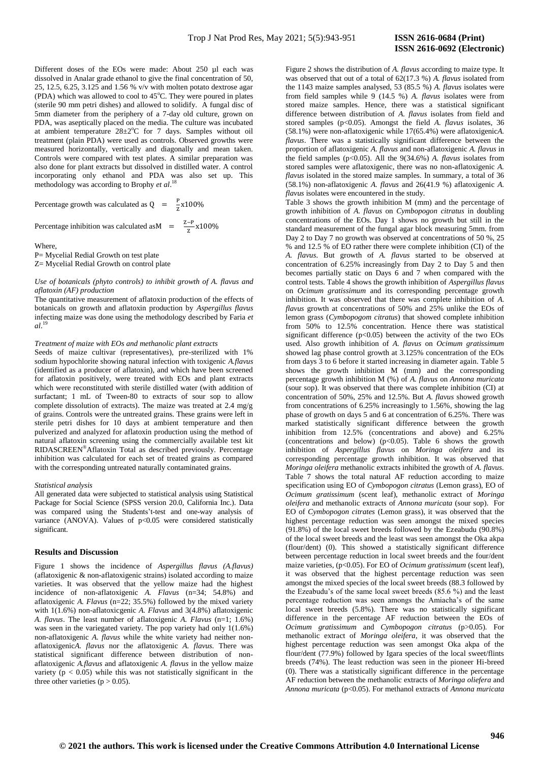Different doses of the EOs were made: About 250 ul each was dissolved in Analar grade ethanol to give the final concentration of 50, 25, 12.5, 6.25, 3.125 and 1.56 % v/v with molten potato dextrose agar (PDA) which was allowed to cool to  $45^{\circ}$ C. They were poured in plates (sterile 90 mm petri dishes) and allowed to solidify. A fungal disc of 5mm diameter from the periphery of a 7-day old culture, grown on PDA, was aseptically placed on the media. The culture was incubated at ambient temperature  $28 \pm 2^{\circ}$ C for 7 days. Samples without oil treatment (plain PDA) were used as controls. Observed growths were measured horizontally, vertically and diagonally and mean taken. Controls were compared with test plates. A similar preparation was also done for plant extracts but dissolved in distilled water. A control incorporating only ethanol and PDA was also set up. This methodology was according to Brophy *et al*. 18

Percentage growth was calculated as  $Q = \frac{P}{q}$  $\frac{r}{Z}X$ 

Percentage inhibition was calculated as  $M = \frac{Z}{T}$  $\frac{-r}{z}x$ 

Where, P= Mycelial Redial Growth on test plate Z= Mycelial Redial Growth on control plate

## *Use of botanicals (phyto controls) to inhibit growth of A. flavus and aflatoxin (AF) production*

The quantitative measurement of aflatoxin production of the effects of botanicals on growth and aflatoxin production by *Aspergillus flavus* infecting maize was done using the methodology described by Faria *et al*. 19

#### *Treatment of maize with EOs and methanolic plant extracts*

Seeds of maize cultivar (representatives), pre-sterilized with 1% sodium hypochlorite showing natural infection with toxigenic *A.flavus* (identified as a producer of aflatoxin), and which have been screened for aflatoxin positively, were treated with EOs and plant extracts which were reconstituted with sterile distilled water (with addition of surfactant; 1 mL of Tween-80 to extracts of sour sop to allow complete dissolution of extracts). The maize was treated at 2.4 mg/g of grains. Controls were the untreated grains. These grains were left in sterile petri dishes for 10 days at ambient temperature and then pulverized and analyzed for aflatoxin production using the method of natural aflatoxin screening using the commercially available test kit RIDASCREEN®Aflatoxin Total as described previously. Percentage inhibition was calculated for each set of treated grains as compared with the corresponding untreated naturally contaminated grains.

#### *Statistical analysis*

All generated data were subjected to statistical analysis using Statistical Package for Social Science (SPSS version 20.0, California Inc.). Data was compared using the Students't-test and one-way analysis of variance (ANOVA). Values of  $p<0.05$  were considered statistically significant.

## **Results and Discussion**

Figure 1 shows the incidence of *Aspergillus flavus (A.flavus)*  (aflatoxigenic & non-aflatoxigenic strains) isolated according to maize varieties. It was observed that the yellow maize had the highest incidence of non-aflatoxigenic *A. Flavus* (n=34; 54.8%) and aflatoxigenic *A. Flavus* (n=22; 35.5%) followed by the mixed variety with 1(1.6%) non-aflatoxicgenic *A. Flavus* and 3(4.8%) aflatoxigenic *A. flavus*. The least number of aflatoxigenic *A. Flavus* (n=1; 1.6%) was seen in the variegated variety. The pop variety had only 1(1.6%) non-aflatoxigenic *A. flavus* while the white variety had neither nonaflatoxigenic*A. flavus* nor the aflatoxigenic *A. flavus.* There was statistical significant difference between distribution of nonaflatoxigenic *A.flavus* and aflatoxigenic *A. flavus* in the yellow maize variety ( $p < 0.05$ ) while this was not statistically significant in the three other varieties ( $p > 0.05$ ).

Figure 2 shows the distribution of *A. flavus* according to maize type. It was observed that out of a total of 62(17.3 %) *A. flavus* isolated from the 1143 maize samples analysed, 53 (85.5 %) *A. flavus* isolates were from field samples while 9 (14.5 %) *A. flavus* isolates were from stored maize samples. Hence, there was a statistical significant difference between distribution of *A. flavus* isolates from field and stored samples (p<0.05). Amongst the field *A. flavus* isolates, 36 (58.1%) were non-aflatoxigenic while 17(65.4%) were aflatoxigenic*A. flavus*. There was a statistically significant difference between the proportion of aflatoxigenic *A. flavus* and non-aflatoxigenic *A. flavus* in the field samples ( $p<0.05$ ). All the 9(34.6%) *A. flavus* isolates from stored samples were aflatoxigenic, there was no non-aflatoxigenic *A. flavus* isolated in the stored maize samples. In summary, a total of 36 (58.1%) non-aflatoxigenic *A. flavus* and 26(41.9 %) aflatoxigenic *A. flavus* isolates were encountered in the study.

Table 3 shows the growth inhibition M (mm) and the percentage of growth inhibition of *A. flavus* on *Cymbopogon citratus* in doubling concentrations of the EOs. Day 1 shows no growth but still in the standard measurement of the fungal agar block measuring 5mm. from Day 2 to Day 7 no growth was observed at concentrations of 50 %, 25 % and 12.5 % of EO rather there were complete inhibition (CI) of the *A. flavus*. But growth of *A. flavus* started to be observed at concentration of 6.25% increasingly from Day 2 to Day 5 and then becomes partially static on Days 6 and 7 when compared with the control tests. Table 4 shows the growth inhibition of *Aspergillus flavus* on *Ocimum gratissimum* and its corresponding percentage growth inhibition. It was observed that there was complete inhibition of *A. flavus* growth at concentrations of 50% and 25% unlike the EOs of lemon grass (*Cymbopogom citratus*) that showed complete inhibition from 50% to 12.5% concentration. Hence there was statistical significant difference ( $p<0.05$ ) between the activity of the two EOs used. Also growth inhibition of *A. flavus* on *Ocimum gratissimum* showed lag phase control growth at 3.125% concentration of the EOs from days 3 to 6 before it started increasing in diameter again. Table 5 shows the growth inhibition M (mm) and the corresponding percentage growth inhibition M (%) of *A. flavus* on *Annona muricata* (sour sop). It was observed that there was complete inhibition (CI) at concentration of 50%, 25% and 12.5%. But *A. flavus* showed growth from concentrations of 6.25% increasingly to 1.56%, showing the lag phase of growth on days 5 and 6 at concentration of 6.25%. There was marked statistically significant difference between the growth inhibition from 12.5% (concentrations and above) and 6.25% (concentrations and below) ( $p<0.05$ ). Table 6 shows the growth inhibition of *Aspergillus flavus* on *Moringa oleifera* and its corresponding percentage growth inhibition. It was observed that *Moringa oleifera* methanolic extracts inhibited the growth of *A. flavus*. Table 7 shows the total natural AF reduction according to maize specification using EO of *Cymbopogon citratus* (Lemon grass), EO of *Ocimum gratissimum* (scent leaf), methanolic extract of *Moringa oleifera* and methanolic extracts of *Annona muricata* (sour sop). For EO of *Cymbopogon citrates* (Lemon grass), it was observed that the highest percentage reduction was seen amongst the mixed species (91.8%) of the local sweet breeds followed by the Ezeabudu (90.8%) of the local sweet breeds and the least was seen amongst the Oka akpa (flour/dent) (0). This showed a statistically significant difference between percentage reduction in local sweet breeds and the four/dent maize varieties, (p<0.05). For EO of *Ocimum gratissimum* (scent leaf), it was observed that the highest percentage reduction was seen amongst the mixed species of the local sweet breeds (88.3 followed by the Ezeabudu's of the same local sweet breeds (85.6 %) and the least percentage reduction was seen amongs the Amiacha's of the same local sweet breeds (5.8%). There was no statistically significant difference in the percentage AF reduction between the EOs of *Ocimum gratissimum* and *Cymbopogon citratus* (p>0.05). For methanolic extract of *Moringa oleifera*, it was observed that the highest percentage reduction was seen amongst Oka akpa of the flour/dent (77.9%) followed by Igara species of the local sweet/flints breeds (74%). The least reduction was seen in the pioneer Hi-breed (0). There was a statistically significant difference in the percentage AF reduction between the methanolic extracts of *Moringa oliefera* and *Annona muricata* (p<0.05). For methanol extracts of *Annona muricata*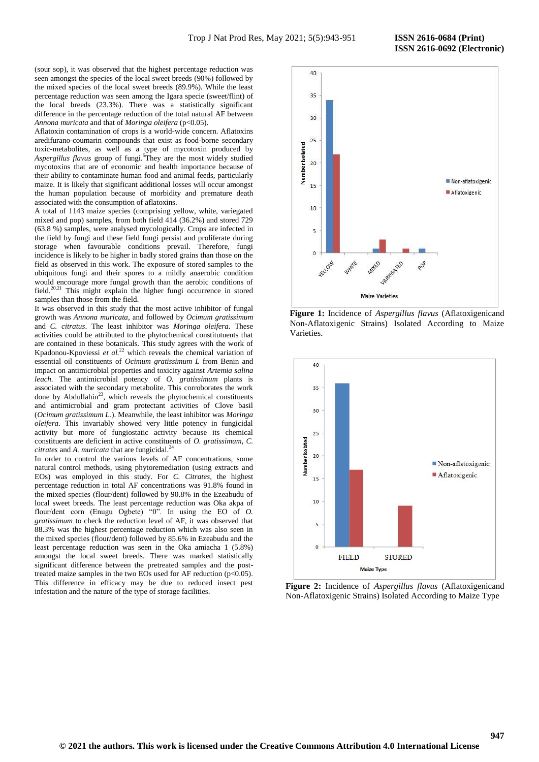(sour sop), it was observed that the highest percentage reduction was seen amongst the species of the local sweet breeds (90%) followed by the mixed species of the local sweet breeds (89.9%). While the least percentage reduction was seen among the Igara specie (sweet/flint) of the local breeds (23.3%). There was a statistically significant difference in the percentage reduction of the total natural AF between *Annona muricata* and that of *Moringa oleifera* (p<0.05).

Aflatoxin contamination of crops is a world-wide concern. Aflatoxins aredifurano-coumarin compounds that exist as food-borne secondary toxic-metabolites, as well as a type of mycotoxin produced by *Aspergillus flavus* group of fungi*.* 5 They are the most widely studied mycotoxins that are of economic and health importance because of their ability to contaminate human food and animal feeds, particularly maize. It is likely that significant additional losses will occur amongst the human population because of morbidity and premature death associated with the consumption of aflatoxins.

A total of 1143 maize species (comprising yellow, white, variegated mixed and pop) samples, from both field 414 (36.2%) and stored 729 (63.8 %) samples, were analysed mycologically. Crops are infected in the field by fungi and these field fungi persist and proliferate during storage when favourable conditions prevail. Therefore, fungi incidence is likely to be higher in badly stored grains than those on the field as observed in this work. The exposure of stored samples to the ubiquitous fungi and their spores to a mildly anaerobic condition would encourage more fungal growth than the aerobic conditions of field.<sup>20,21</sup> This might explain the higher fungi occurrence in stored samples than those from the field.

It was observed in this study that the most active inhibitor of fungal growth was *Annona muricata*, and followed by *Ocimum gratissimum* and *C. citratus*. The least inhibitor was *Moringa oleifera*. These activities could be attributed to the phytochemical constitutuents that are contained in these botanicals. This study agrees with the work of Kpadonou-Kpoviessi *et al.*<sup>22</sup> which reveals the chemical variation of essential oil constituents of *Ocimum gratissimum L* from Benin and impact on antimicrobial properties and toxicity against *Artemia salina leach.* The antimicrobial potency of *O. gratissimum* plants is associated with the secondary metabolite. This corroborates the work done by Abdullahin<sup>23</sup>, which reveals the phytochemical constituents and antimicrobial and gram protectant activities of Clove basil (*Ocimum gratissimum L.*). Meanwhile, the least inhibitor was *Moringa oleifera.* This invariably showed very little potency in fungicidal activity but more of fungiostatic activity because its chemical constituents are deficient in active constituents of *O. gratissimum, C. citrates* and *A. muricata* that are fungicidal.<sup>24</sup>

In order to control the various levels of AF concentrations, some natural control methods, using phytoremediation (using extracts and EOs) was employed in this study. For *C. Citrates*, the highest percentage reduction in total AF concentrations was 91.8% found in the mixed species (flour/dent) followed by 90.8% in the Ezeabudu of local sweet breeds. The least percentage reduction was Oka akpa of flour/dent corn (Enugu Ogbete) "0". In using the EO of *O*. *gratissimum* to check the reduction level of AF, it was observed that 88.3% was the highest percentage reduction which was also seen in the mixed species (flour/dent) followed by 85.6% in Ezeabudu and the least percentage reduction was seen in the Oka amiacha 1 (5.8%) amongst the local sweet breeds. There was marked statistically significant difference between the pretreated samples and the posttreated maize samples in the two EOs used for AF reduction ( $p$ <0.05). This difference in efficacy may be due to reduced insect pest infestation and the nature of the type of storage facilities.



**Figure 1:** Incidence of *Aspergillus flavus* (Aflatoxigenicand Non-Aflatoxigenic Strains) Isolated According to Maize Varieties.



**Figure 2:** Incidence of *Aspergillus flavus* (Aflatoxigenicand Non-Aflatoxigenic Strains) Isolated According to Maize Type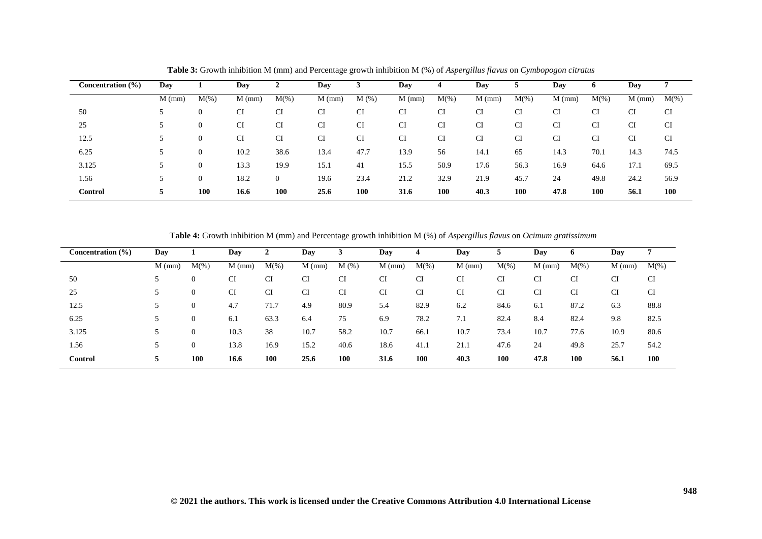| Concentration (%) | Day      |          | Day      | ∠              | Day      |      | Day      | 4       | Day       | 5         | Day       | 6       | Day       | ⇁         |
|-------------------|----------|----------|----------|----------------|----------|------|----------|---------|-----------|-----------|-----------|---------|-----------|-----------|
|                   | $M$ (mm) | $M(\%)$  | $M$ (mm) | $M(\% )$       | $M$ (mm) | M(%) | $M$ (mm) | $M(\%)$ | $M$ (mm)  | $M(\%)$   | $M$ (mm)  | $M(\%)$ | $M$ (mm)  | $M(\%)$   |
| 50                |          | 0        | CI       | CI             | CI       | CI   | CI       | CI      | <b>CI</b> | CI        | CI        | CI      | CI        | <b>CI</b> |
| 25                |          | $\theta$ | CI       | CI             | CI       | CI   | CI       | CI      | CI        | <b>CI</b> | <b>CI</b> | CI      | <b>CI</b> | CI        |
| 12.5              |          | $\theta$ | CI       | CI             | CI       | CI   | CI       | CI      | <b>CI</b> | <b>CI</b> | CI        | CI      | <b>CI</b> | <b>CI</b> |
| 6.25              |          | 0        | 10.2     | 38.6           | 13.4     | 47.7 | 13.9     | 56      | 14.1      | 65        | 14.3      | 70.1    | 14.3      | 74.5      |
| 3.125             |          | $\theta$ | 13.3     | 19.9           | 15.1     | 41   | 15.5     | 50.9    | 17.6      | 56.3      | 16.9      | 64.6    | 17.1      | 69.5      |
| 1.56              | J        | 0        | 18.2     | $\overline{0}$ | 19.6     | 23.4 | 21.2     | 32.9    | 21.9      | 45.7      | 24        | 49.8    | 24.2      | 56.9      |
| <b>Control</b>    |          | 100      | 16.6     | <b>100</b>     | 25.6     | 100  | 31.6     | 100     | 40.3      | 100       | 47.8      | 100     | 56.1      | 100       |

**Table 3:** Growth inhibition M (mm) and Percentage growth inhibition M (%) of *Aspergillus flavus* on *Cymbopogon citratus*

**Table 4:** Growth inhibition M (mm) and Percentage growth inhibition M (%) of *Aspergillus flavus* on *Ocimum gratissimum*

| Concentration (%) | Day      |              | Day       |            | Day      |      | Day      |            | Day       |         | Day      | o       | Day      |            |
|-------------------|----------|--------------|-----------|------------|----------|------|----------|------------|-----------|---------|----------|---------|----------|------------|
|                   | $M$ (mm) | $M(\%)$      | $M$ (mm)  | $M(\%)$    | $M$ (mm) | M(%) | $M$ (mm) | $M(\%)$    | $M$ (mm)  | $M(\%)$ | $M$ (mm) | $M(\%)$ | $M$ (mm) | $M(\%)$    |
| 50                |          | $\mathbf{0}$ | CI        | CI         | CI       | CI   | CI       | CI         | <b>CI</b> | CI      | CI       | CI      | CI       | CI         |
| 25                |          | $\mathbf{0}$ | <b>CI</b> | <b>CI</b>  | CI       | CI   | CI       | CI         | <b>CI</b> | CI      | CI       | CI      | CI       | CI         |
| 12.5              |          | $\mathbf{0}$ | 4.7       | 71.7       | 4.9      | 80.9 | 5.4      | 82.9       | 6.2       | 84.6    | 6.1      | 87.2    | 6.3      | 88.8       |
| 6.25              |          | $\mathbf{0}$ | 6.1       | 63.3       | 6.4      | 75   | 6.9      | 78.2       | 7.1       | 82.4    | 8.4      | 82.4    | 9.8      | 82.5       |
| 3.125             |          | $\mathbf{0}$ | 10.3      | 38         | 10.7     | 58.2 | 10.7     | 66.1       | 10.7      | 73.4    | 10.7     | 77.6    | 10.9     | 80.6       |
| 1.56              |          | $\mathbf{0}$ | 13.8      | 16.9       | 15.2     | 40.6 | 18.6     | 41.1       | 21.1      | 47.6    | 24       | 49.8    | 25.7     | 54.2       |
| Control           | 5        | <b>100</b>   | 16.6      | <b>100</b> | 25.6     | 100  | 31.6     | <b>100</b> | 40.3      | 100     | 47.8     | 100     | 56.1     | <b>100</b> |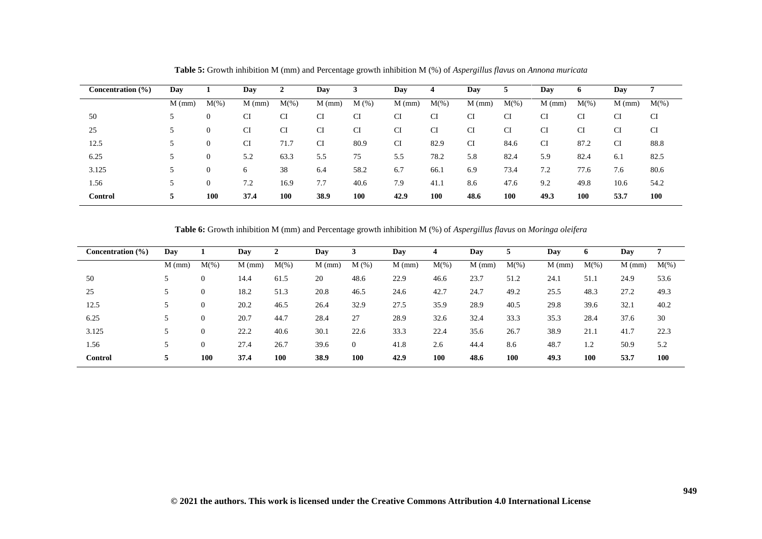| Concentration (%) | Day      |                | Day      | ◢       | Day       | J    | Day       | 4          | Day       | 5          | Day       | o          | Day       |            |
|-------------------|----------|----------------|----------|---------|-----------|------|-----------|------------|-----------|------------|-----------|------------|-----------|------------|
|                   | $M$ (mm) | $M(\%)$        | $M$ (mm) | $M(\%)$ | $M$ (mm)  | M(%) | $M$ (mm)  | $M(\%)$    | $M$ (mm)  | $M(\%)$    | $M$ (mm)  | $M(\%)$    | $M$ (mm)  | $M(\%)$    |
| 50                |          | $\mathbf{0}$   | CI       | CI      | <b>CI</b> | CI   | CI        | <b>CI</b>  | CI        | CI         | <b>CI</b> | CI         | <b>CI</b> | CI         |
| 25                |          | $\overline{0}$ | CI       | CI      | <b>CI</b> | CI   | <b>CI</b> | <b>CI</b>  | <b>CI</b> | <b>CI</b>  | <b>CI</b> | CI         | <b>CI</b> | CI         |
| 12.5              |          | $\overline{0}$ | CI       | 71.7    | <b>CI</b> | 80.9 | CI        | 82.9       | <b>CI</b> | 84.6       | <b>CI</b> | 87.2       | <b>CI</b> | 88.8       |
| 6.25              |          | $\overline{0}$ | 5.2      | 63.3    | 5.5       | 75   | 5.5       | 78.2       | 5.8       | 82.4       | 5.9       | 82.4       | 6.1       | 82.5       |
| 3.125             |          | $\overline{0}$ | 6        | 38      | 6.4       | 58.2 | 6.7       | 66.1       | 6.9       | 73.4       | 7.2       | 77.6       | 7.6       | 80.6       |
| 1.56              |          | $\Omega$       | 7.2      | 16.9    | 7.7       | 40.6 | 7.9       | 41.1       | 8.6       | 47.6       | 9.2       | 49.8       | 10.6      | 54.2       |
| <b>Control</b>    | 5        | <b>100</b>     | 37.4     | 100     | 38.9      | 100  | 42.9      | <b>100</b> | 48.6      | <b>100</b> | 49.3      | <b>100</b> | 53.7      | <b>100</b> |

**Table 5:** Growth inhibition M (mm) and Percentage growth inhibition M (%) of *Aspergillus flavus* on *Annona muricata*

**Table 6:** Growth inhibition M (mm) and Percentage growth inhibition M (%) of *Aspergillus flavus* on *Moringa oleifera*

| Concentration (%) | Day      |              | Day      |         | Day      |          | Day      |            | Day      |            | Day      |         | Day      | 7          |
|-------------------|----------|--------------|----------|---------|----------|----------|----------|------------|----------|------------|----------|---------|----------|------------|
|                   | $M$ (mm) | $M(\%)$      | $M$ (mm) | $M(\%)$ | $M$ (mm) | M(%)     | $M$ (mm) | $M(\% )$   | $M$ (mm) | $M(\%)$    | $M$ (mm) | $M(\%)$ | $M$ (mm) | $M(\%)$    |
| 50                |          | $\mathbf{0}$ | 14.4     | 61.5    | 20       | 48.6     | 22.9     | 46.6       | 23.7     | 51.2       | 24.1     | 51.1    | 24.9     | 53.6       |
| 25                |          | $\mathbf{0}$ | 18.2     | 51.3    | 20.8     | 46.5     | 24.6     | 42.7       | 24.7     | 49.2       | 25.5     | 48.3    | 27.2     | 49.3       |
| 12.5              |          | $\mathbf{0}$ | 20.2     | 46.5    | 26.4     | 32.9     | 27.5     | 35.9       | 28.9     | 40.5       | 29.8     | 39.6    | 32.1     | 40.2       |
| 6.25              |          | $\mathbf{0}$ | 20.7     | 44.7    | 28.4     | 27       | 28.9     | 32.6       | 32.4     | 33.3       | 35.3     | 28.4    | 37.6     | 30         |
| 3.125             |          | $\mathbf{0}$ | 22.2     | 40.6    | 30.1     | 22.6     | 33.3     | 22.4       | 35.6     | 26.7       | 38.9     | 21.1    | 41.7     | 22.3       |
| 1.56              |          | $\mathbf{0}$ | 27.4     | 26.7    | 39.6     | $\theta$ | 41.8     | 2.6        | 44.4     | 8.6        | 48.7     | 1.2     | 50.9     | 5.2        |
| <b>Control</b>    | 5        | <b>100</b>   | 37.4     | 100     | 38.9     | 100      | 42.9     | <b>100</b> | 48.6     | <b>100</b> | 49.3     | 100     | 53.7     | <b>100</b> |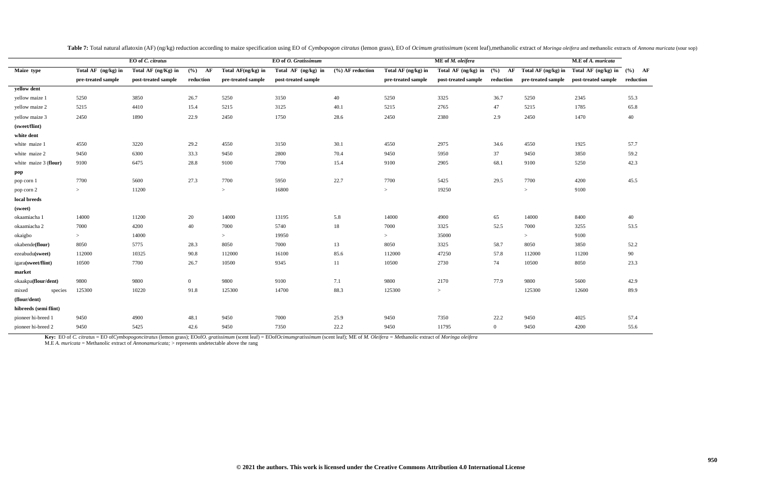|    | M.E of A. muricata  |           |
|----|---------------------|-----------|
| in | Total AF (ng/kg) in | (%)<br>AF |
| le | post-treated sample | reduction |
|    |                     |           |
|    | 2345                | 55.3      |
|    | 1785                | 65.8      |
|    | 1470                | 40        |
|    |                     |           |
|    |                     |           |
|    | 1925                | 57.7      |
|    | 3850                | 59.2      |
|    | 5250                | 42.3      |
|    |                     |           |
|    | 4200                | 45.5      |
|    | 9100                |           |
|    |                     |           |
|    |                     |           |
|    | 8400                | 40        |
|    | 3255                | 53.5      |
|    | 9100                |           |
|    | 3850                | 52.2      |
|    | 11200               | 90        |
|    | 8050                | 23.3      |
|    |                     |           |
|    | 5600                | 42.9      |
|    | 12600               | 89.9      |
|    |                     |           |
|    |                     |           |
|    | 4025                | 57.4      |
|    | 4200                | 55.6      |

|                       |                     | EO of C. citratus   |                |                    | EO of O. Gratissimum |                    |                     | ME of M. oleifera   |                |                     | M.E of A. muricata          |      |
|-----------------------|---------------------|---------------------|----------------|--------------------|----------------------|--------------------|---------------------|---------------------|----------------|---------------------|-----------------------------|------|
| Maize type            | Total AF (ng/kg) in | Total AF (ng/Kg) in | $(\%)$ AF      | Total AF(ng/kg) in | Total AF (ng/kg) in  | $(%)$ AF reduction | Total AF (ng/kg) in | Total AF (ng/kg) in | (%)<br>AF      | Total AF (ng/kg) in | Total AF $(ng/kg)$ in $(%)$ |      |
|                       | pre-treated sample  | post-treated sample | reduction      | pre-treated sample | post-treated sample  |                    | pre-treated sample  | post-treated sample | reduction      | pre-treated sample  | post-treated sample         | redu |
| yellow dent           |                     |                     |                |                    |                      |                    |                     |                     |                |                     |                             |      |
| yellow maize 1        | 5250                | 3850                | 26.7           | 5250               | 3150                 | 40                 | 5250                | 3325                | 36.7           | 5250                | 2345                        | 55.3 |
| yellow maize 2        | 5215                | 4410                | 15.4           | 5215               | 3125                 | 40.1               | 5215                | 2765                | 47             | 5215                | 1785                        | 65.8 |
| yellow maize 3        | 2450                | 1890                | 22.9           | 2450               | 1750                 | 28.6               | 2450                | 2380                | 2.9            | 2450                | 1470                        | 40   |
| (sweet/flint)         |                     |                     |                |                    |                      |                    |                     |                     |                |                     |                             |      |
| white dent            |                     |                     |                |                    |                      |                    |                     |                     |                |                     |                             |      |
| white maize 1         | 4550                | 3220                | 29.2           | 4550               | 3150                 | 30.1               | 4550                | 2975                | 34.6           | 4550                | 1925                        | 57.7 |
| white maize 2         | 9450                | 6300                | 33.3           | 9450               | 2800                 | 70.4               | 9450                | 5950                | 37             | 9450                | 3850                        | 59.2 |
| white maize 3 (flour) | 9100                | 6475                | 28.8           | 9100               | 7700                 | 15.4               | 9100                | 2905                | 68.1           | 9100                | 5250                        | 42.3 |
| $\bf pop$             |                     |                     |                |                    |                      |                    |                     |                     |                |                     |                             |      |
| pop corn 1            | 7700                | 5600                | 27.3           | 7700               | 5950                 | 22.7               | 7700                | 5425                | 29.5           | 7700                | 4200                        | 45.5 |
| pop corn 2            | $>$                 | 11200               |                | $\,>$              | 16800                |                    | $>$                 | 19250               |                | $\,>$               | 9100                        |      |
| local breeds          |                     |                     |                |                    |                      |                    |                     |                     |                |                     |                             |      |
| (sweet)               |                     |                     |                |                    |                      |                    |                     |                     |                |                     |                             |      |
| okaamiacha 1          | 14000               | 11200               | 20             | 14000              | 13195                | 5.8                | 14000               | 4900                | 65             | 14000               | 8400                        | 40   |
| okaamiacha 2          | 7000                | 4200                | 40             | 7000               | 5740                 | 18                 | 7000                | 3325                | 52.5           | 7000                | 3255                        | 53.5 |
| okaigbo               | >                   | 14000               |                | $\,>$              | 19950                |                    | $>$                 | 35000               |                | >                   | 9100                        |      |
| okabende(flour)       | 8050                | 5775                | 28.3           | 8050               | 7000                 | 13                 | 8050                | 3325                | 58.7           | 8050                | 3850                        | 52.2 |
| ezeabudu(sweet)       | 112000              | 10325               | 90.8           | 112000             | 16100                | 85.6               | 112000              | 47250               | 57.8           | 112000              | 11200                       | 90   |
| igara(sweet/flint)    | 10500               | 7700                | 26.7           | 10500              | 9345                 | 11                 | 10500               | 2730                | 74             | 10500               | 8050                        | 23.3 |
| market                |                     |                     |                |                    |                      |                    |                     |                     |                |                     |                             |      |
| okaakpa(flour/dent)   | 9800                | 9800                | $\overline{0}$ | 9800               | 9100                 | 7.1                | 9800                | 2170                | 77.9           | 9800                | 5600                        | 42.9 |
| mixed<br>species      | 125300              | 10220               | 91.8           | 125300             | 14700                | 88.3               | 125300              | $\,>$               |                | 125300              | 12600                       | 89.9 |
| (flour/dent)          |                     |                     |                |                    |                      |                    |                     |                     |                |                     |                             |      |
| hibreeds (semi flint) |                     |                     |                |                    |                      |                    |                     |                     |                |                     |                             |      |
| pioneer hi-breed 1    | 9450                | 4900                | 48.1           | 9450               | 7000                 | 25.9               | 9450                | 7350                | 22.2           | 9450                | 4025                        | 57.4 |
| pioneer hi-breed 2    | 9450                | 5425                | 42.6           | 9450               | 7350                 | 22.2               | 9450                | 11795               | $\overline{0}$ | 9450                | 4200                        | 55.6 |

Table 7: Total natural aflatoxin (AF) (ng/kg) reduction according to maize specification using EO of Cymbopogon citratus (lemon grass), EO of Ocimum gratissimum (scent leaf), methanolic extract of Moringa oleifera and meth

Key: EO of C. citratus = EO ofCymbopogoncitratus (lemon grass); EOofO. gratissimum (scent leaf) = EOofOcimumgratissimum (scent leaf); ME of M. Oleifera = Methanolic extract of Moringa oleifera

M.E *A. muricata* = Methanolic extract of *Annonamuricata;* > represents undetectable above the rang